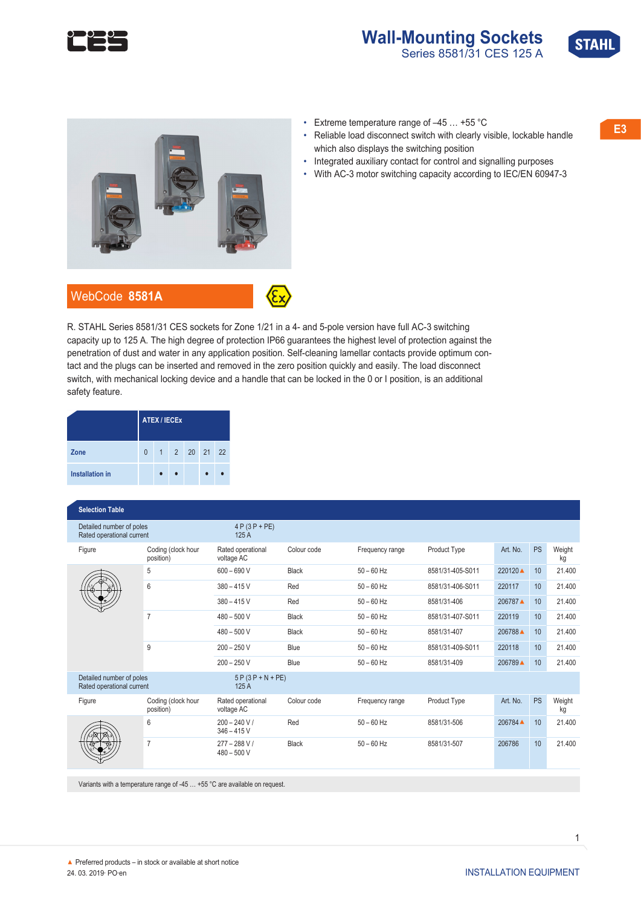

# **Wall-Mounting Sockets**<br>Series 8581/31 CES 125 A





- 
- Reliable load disconnect switch with clearly visible, lockable handle which also displays the switching position
- Integrated auxiliary contact for control and signalling purposes
- With AC-3 motor switching capacity according to IEC/EN 60947-3

R. STAHL Series 8581/31 CES sockets for Zone 1/21 in a 4- and 5-pole version have full AC-3 switching capacity up to 125 A. The high degree of protection IP66 guarantees the highest level of protection against the penetration of dust and water in any application position. Self-cleaning lamellar contacts provide optimum contact and the plugs can be inserted and removed in the zero position quickly and easily. The load disconnect switch, with mechanical locking device and a handle that can be locked in the 0 or I position, is an additional safety feature.

|                        | <b>ATEX / IECEX</b> |  |  |              |  |  |  |  |
|------------------------|---------------------|--|--|--------------|--|--|--|--|
| Zone                   | $\Omega$            |  |  | 1 2 20 21 22 |  |  |  |  |
| <b>Installation in</b> |                     |  |  |              |  |  |  |  |

#### **◤Selection Table**

| Detailed number of poles<br>Rated operational current |                                 | $4 P (3 P + P E)$<br>125A       |              |                 |                  |          |           |              |
|-------------------------------------------------------|---------------------------------|---------------------------------|--------------|-----------------|------------------|----------|-----------|--------------|
| Figure                                                | Coding (clock hour<br>position) | Rated operational<br>voltage AC | Colour code  | Frequency range | Product Type     | Art. No. | <b>PS</b> | Weight<br>kg |
|                                                       | 5                               | $600 - 690V$                    | <b>Black</b> | $50 - 60$ Hz    | 8581/31-405-S011 | 220120▲  | 10        | 21.400       |
|                                                       | 6                               | $380 - 415V$                    | Red          | $50 - 60$ Hz    | 8581/31-406-S011 | 220117   | 10        | 21.400       |
|                                                       |                                 | $380 - 415$ V                   | Red          | $50 - 60$ Hz    | 8581/31-406      | 206787   | 10        | 21.400       |
|                                                       | $\overline{7}$                  | $480 - 500$ V                   | <b>Black</b> | $50 - 60$ Hz    | 8581/31-407-S011 | 220119   | 10        | 21.400       |
|                                                       |                                 | $480 - 500$ V                   | <b>Black</b> | $50 - 60$ Hz    | 8581/31-407      | 206788 ▲ | 10        | 21.400       |
|                                                       | 9                               | $200 - 250$ V                   | Blue         | $50 - 60$ Hz    | 8581/31-409-S011 | 220118   | 10        | 21.400       |
|                                                       |                                 | $200 - 250$ V                   | Blue         | $50 - 60$ Hz    | 8581/31-409      | 206789 ▲ | 10        | 21.400       |
| Detailed number of poles<br>Rated operational current |                                 | $5P(3P+N+PE)$<br>125 A          |              |                 |                  |          |           |              |
| Figure                                                | Coding (clock hour<br>position) | Rated operational<br>voltage AC | Colour code  | Frequency range | Product Type     | Art. No. | <b>PS</b> | Weight<br>kg |
|                                                       | 6                               | $200 - 240 V/$<br>$346 - 415V$  | Red          | $50 - 60$ Hz    | 8581/31-506      | 206784 ▲ | 10        | 21.400       |
|                                                       | $\overline{7}$                  | $277 - 288 V/$<br>$480 - 500V$  | Black        | $50 - 60$ Hz    | 8581/31-507      | 206786   | 10        | 21.400       |

Variants with a temperature range of -45 … +55 °C are available on request.

▲ Preferred products – in stock or available at short notice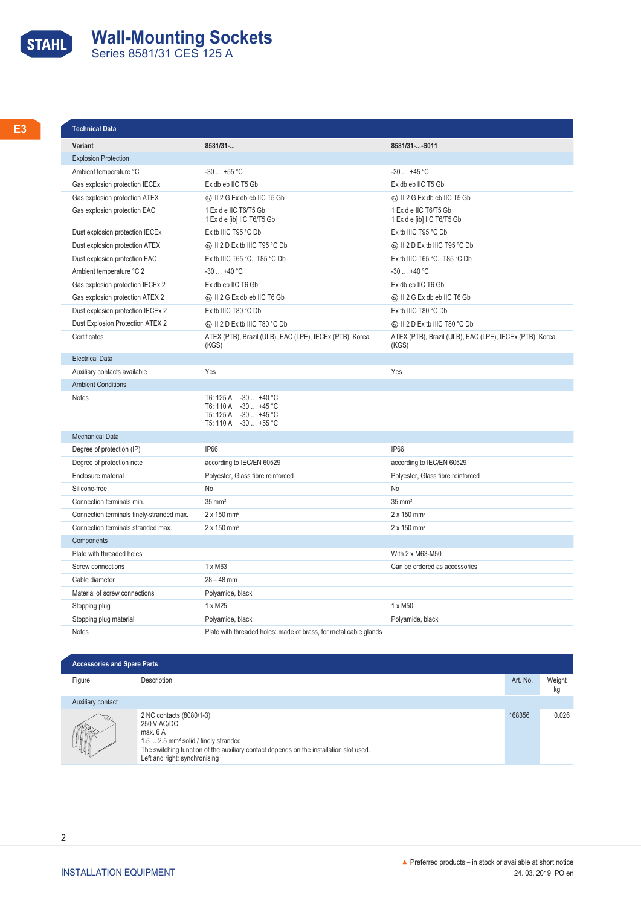# **STAHL Wall-Mounting Sockets**<br>
Series 8581/31 CES 125 A

| <b>Technical Data</b>                     |                                                                                                                                  |                                                                  |
|-------------------------------------------|----------------------------------------------------------------------------------------------------------------------------------|------------------------------------------------------------------|
| Variant                                   | 8581/31-                                                                                                                         | 8581/31--S011                                                    |
| <b>Explosion Protection</b>               |                                                                                                                                  |                                                                  |
| Ambient temperature °C                    | $-30+55$ °C                                                                                                                      | $-30+45$ °C                                                      |
| Gas explosion protection IECEx            | Ex db eb IIC T5 Gb                                                                                                               | Ex db eb IIC T5 Gb                                               |
| Gas explosion protection ATEX             | <b>&amp; II 2 G Ex db eb IIC T5 Gb</b>                                                                                           | ⓒ II 2 G Ex db eb IIC T5 Gb                                      |
| Gas explosion protection EAC              | 1 Ex d e IIC T6/T5 Gb<br>1 Ex d e [ib] IIC T6/T5 Gb                                                                              | 1 Ex d e IIC T6/T5 Gb<br>1 Ex d e [ib] IIC T6/T5 Gb              |
| Dust explosion protection IECEx           | Ex tb IIIC T95 °C Db                                                                                                             | Ex tb IIIC T95 °C Db                                             |
| Dust explosion protection ATEX            | <b>E</b> II 2 D Ex tb IIIC T95 °C Db                                                                                             | ⓒ II 2 D Ex tb IIIC T95 °C Db                                    |
| Dust explosion protection EAC             | Ex tb IIIC T65 °CT85 °C Db                                                                                                       | Ex tb IIIC T65 °CT85 °C Db                                       |
| Ambient temperature °C 2                  | $-30+40$ °C                                                                                                                      | $-30+40$ °C                                                      |
| Gas explosion protection IECEx 2          | Ex db eb IIC T6 Gb                                                                                                               | Ex db eb IIC T6 Gb                                               |
| Gas explosion protection ATEX 2           | Ex II 2 G Ex db eb IIC T6 Gb                                                                                                     | W II 2 G Ex db eb IIC T6 Gb                                      |
| Dust explosion protection IECEx 2         | Ex tb IIIC T80 °C Db                                                                                                             | Ex tb IIIC T80 °C Db                                             |
| Dust Explosion Protection ATEX 2          | ⓒ II 2 D Ex tb IIIC T80 °C Db                                                                                                    | ⓒ II 2 D Ex tb IIIC T80 °C Db                                    |
| Certificates                              | ATEX (PTB), Brazil (ULB), EAC (LPE), IECEx (PTB), Korea<br>(KGS)                                                                 | ATEX (PTB), Brazil (ULB), EAC (LPE), IECEx (PTB), Korea<br>(KGS) |
| <b>Electrical Data</b>                    |                                                                                                                                  |                                                                  |
| Auxiliary contacts available              | Yes                                                                                                                              | Yes                                                              |
| <b>Ambient Conditions</b>                 |                                                                                                                                  |                                                                  |
| Notes                                     | T6: 125 A -30  +40 °C<br>T6: 110 A -30  +45 °C<br>T5: 125 A -30  +45 °C<br>$T5: 110 \text{ A} -30  +55 \text{ }^{\circ}\text{C}$ |                                                                  |
| <b>Mechanical Data</b>                    |                                                                                                                                  |                                                                  |
| Degree of protection (IP)                 | IP66                                                                                                                             | <b>IP66</b>                                                      |
| Degree of protection note                 | according to IEC/EN 60529                                                                                                        | according to IEC/EN 60529                                        |
| Enclosure material                        | Polyester, Glass fibre reinforced                                                                                                | Polyester, Glass fibre reinforced                                |
| Silicone-free                             | No                                                                                                                               | No                                                               |
| Connection terminals min.                 | $35 \text{ mm}^2$                                                                                                                | $35 \text{ mm}^2$                                                |
| Connection terminals finely-stranded max. | $2 \times 150$ mm <sup>2</sup>                                                                                                   | $2 \times 150$ mm <sup>2</sup>                                   |
| Connection terminals stranded max.        | $2 \times 150$ mm <sup>2</sup>                                                                                                   | $2 \times 150$ mm <sup>2</sup>                                   |
| Components                                |                                                                                                                                  |                                                                  |
| Plate with threaded holes                 |                                                                                                                                  | With 2 x M63-M50                                                 |
| Screw connections                         | 1 x M63                                                                                                                          | Can be ordered as accessories                                    |
| Cable diameter                            | $28 - 48$ mm                                                                                                                     |                                                                  |
| Material of screw connections             | Polyamide, black                                                                                                                 |                                                                  |
| Stopping plug                             | 1 x M25                                                                                                                          | 1 x M50                                                          |
| Stopping plug material                    | Polyamide, black                                                                                                                 | Polyamide, black                                                 |
| Notes                                     | Plate with threaded holes: made of brass, for metal cable glands                                                                 |                                                                  |

#### **◤Accessories and Spare Parts**

| .<br><b>Figure</b> | Description | Art. No. | Weigh. |  |
|--------------------|-------------|----------|--------|--|
|                    |             |          |        |  |

### Auxiliary contact



kg 2 NC contacts (8080/1-3) 250 V AC/DC max. 6 A 1.5 ... 2.5 mm² solid / finely stranded The switching function of the auxiliary contact depends on the installation slot used. Left and right: synchronising 168356 0.026